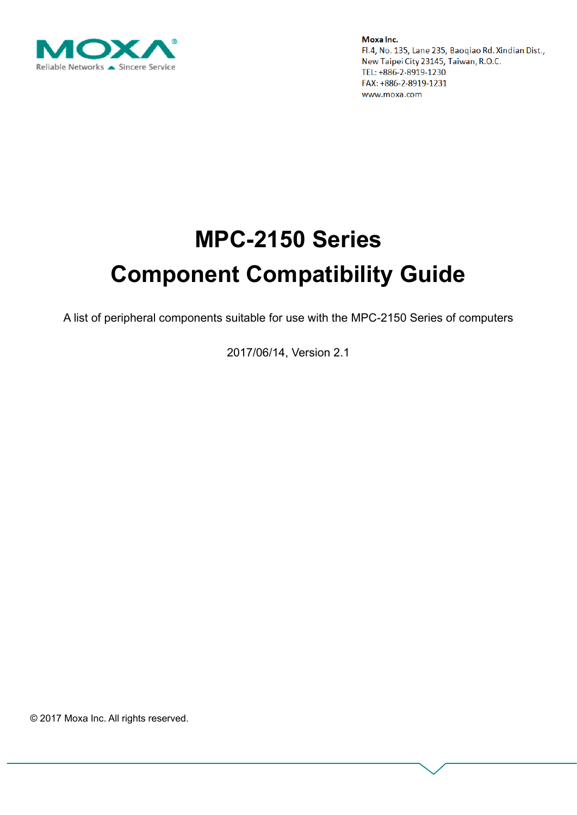

# **MPC-2150 Series Component Compatibility Guide**

A list of peripheral components suitable for use with the MPC-2150 Series of computers

2017/06/14, Version 2.1

© 2017 Moxa Inc. All rights reserved.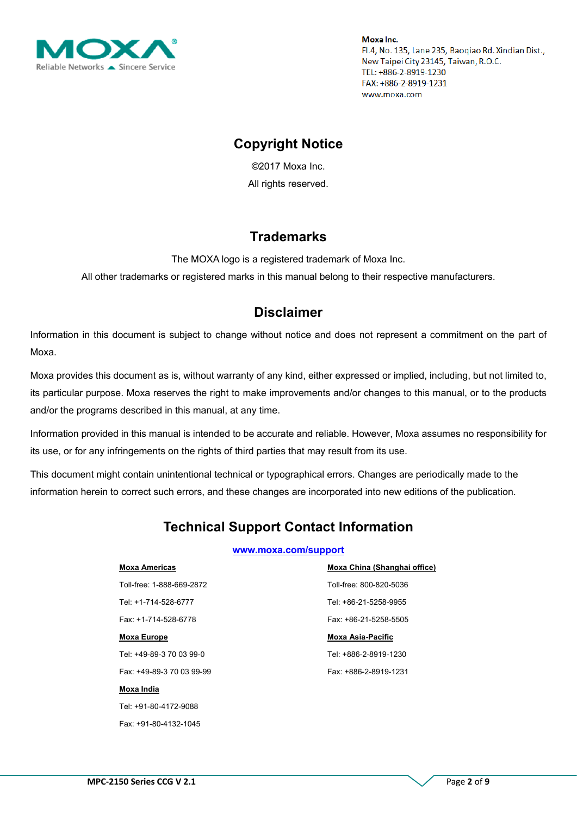

## **Copyright Notice**

©2017 Moxa Inc. All rights reserved.

### **Trademarks**

The MOXA logo is a registered trademark of Moxa Inc.

All other trademarks or registered marks in this manual belong to their respective manufacturers.

### **Disclaimer**

Information in this document is subject to change without notice and does not represent a commitment on the part of Moxa.

Moxa provides this document as is, without warranty of any kind, either expressed or implied, including, but not limited to, its particular purpose. Moxa reserves the right to make improvements and/or changes to this manual, or to the products and/or the programs described in this manual, at any time.

Information provided in this manual is intended to be accurate and reliable. However, Moxa assumes no responsibility for its use, or for any infringements on the rights of third parties that may result from its use.

This document might contain unintentional technical or typographical errors. Changes are periodically made to the information herein to correct such errors, and these changes are incorporated into new editions of the publication.

# **Technical Support Contact Information**

#### **[www.moxa.com/support](http://www.moxa.com/support)**

#### **Moxa Americas**

Toll-free: 1-888-669-2872 Tel: +1-714-528-6777 Fax: +1-714-528-6778

#### **Moxa Europe**

Tel: +49-89-3 70 03 99-0 Fax: +49-89-3 70 03 99-99

#### **Moxa India**

Tel: +91-80-4172-9088 Fax: +91-80-4132-1045 **Moxa China (Shanghai office)** Toll-free: 800-820-5036 Tel: +86-21-5258-9955 Fax: +86-21-5258-5505

#### **Moxa Asia-Pacific**

Tel: +886-2-8919-1230 Fax: +886-2-8919-1231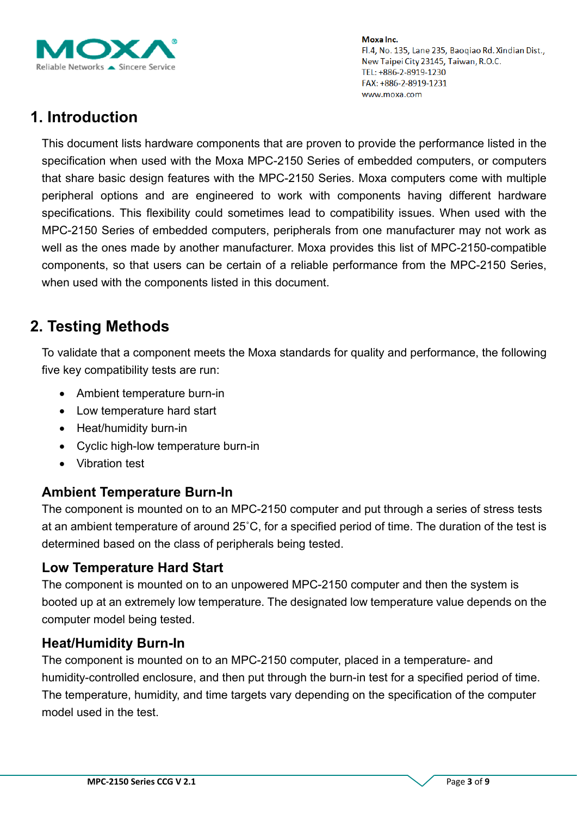

# **1. Introduction**

This document lists hardware components that are proven to provide the performance listed in the specification when used with the Moxa MPC-2150 Series of embedded computers, or computers that share basic design features with the MPC-2150 Series. Moxa computers come with multiple peripheral options and are engineered to work with components having different hardware specifications. This flexibility could sometimes lead to compatibility issues. When used with the MPC-2150 Series of embedded computers, peripherals from one manufacturer may not work as well as the ones made by another manufacturer. Moxa provides this list of MPC-2150-compatible components, so that users can be certain of a reliable performance from the MPC-2150 Series, when used with the components listed in this document.

# **2. Testing Methods**

To validate that a component meets the Moxa standards for quality and performance, the following five key compatibility tests are run:

- Ambient temperature burn-in
- Low temperature hard start
- Heat/humidity burn-in
- Cyclic high-low temperature burn-in
- Vibration test

### **Ambient Temperature Burn-In**

The component is mounted on to an MPC-2150 computer and put through a series of stress tests at an ambient temperature of around 25˚C, for a specified period of time. The duration of the test is determined based on the class of peripherals being tested.

### **Low Temperature Hard Start**

The component is mounted on to an unpowered MPC-2150 computer and then the system is booted up at an extremely low temperature. The designated low temperature value depends on the computer model being tested.

### **Heat/Humidity Burn-In**

The component is mounted on to an MPC-2150 computer, placed in a temperature- and humidity-controlled enclosure, and then put through the burn-in test for a specified period of time. The temperature, humidity, and time targets vary depending on the specification of the computer model used in the test.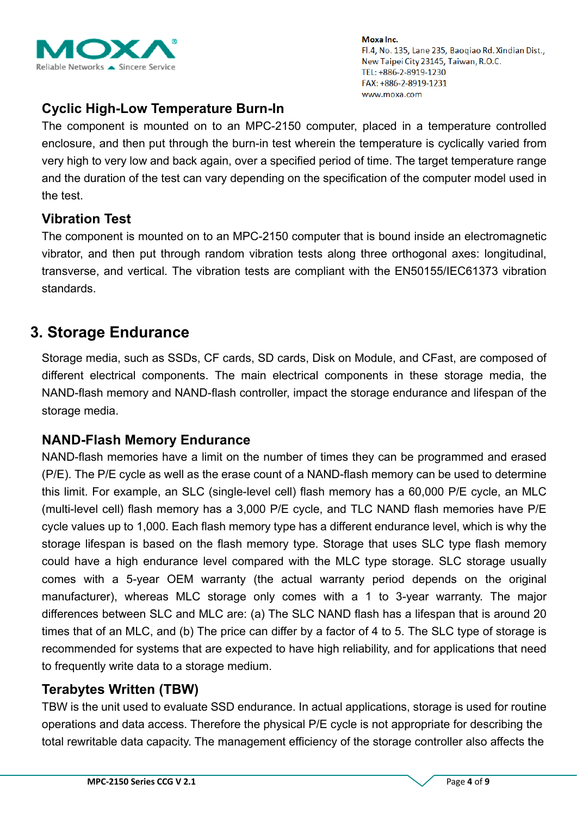

### **Cyclic High-Low Temperature Burn-In**

The component is mounted on to an MPC-2150 computer, placed in a temperature controlled enclosure, and then put through the burn-in test wherein the temperature is cyclically varied from very high to very low and back again, over a specified period of time. The target temperature range and the duration of the test can vary depending on the specification of the computer model used in the test.

### **Vibration Test**

The component is mounted on to an MPC-2150 computer that is bound inside an electromagnetic vibrator, and then put through random vibration tests along three orthogonal axes: longitudinal, transverse, and vertical. The vibration tests are compliant with the EN50155/IEC61373 vibration standards.

# **3. Storage Endurance**

Storage media, such as SSDs, CF cards, SD cards, Disk on Module, and CFast, are composed of different electrical components. The main electrical components in these storage media, the NAND-flash memory and NAND-flash controller, impact the storage endurance and lifespan of the storage media.

### **NAND-Flash Memory Endurance**

NAND-flash memories have a limit on the number of times they can be programmed and erased (P/E). The P/E cycle as well as the erase count of a NAND-flash memory can be used to determine this limit. For example, an SLC (single-level cell) flash memory has a 60,000 P/E cycle, an MLC (multi-level cell) flash memory has a 3,000 P/E cycle, and TLC NAND flash memories have P/E cycle values up to 1,000. Each flash memory type has a different endurance level, which is why the storage lifespan is based on the flash memory type. Storage that uses SLC type flash memory could have a high endurance level compared with the MLC type storage. SLC storage usually comes with a 5-year OEM warranty (the actual warranty period depends on the original manufacturer), whereas MLC storage only comes with a 1 to 3-year warranty. The major differences between SLC and MLC are: (a) The SLC NAND flash has a lifespan that is around 20 times that of an MLC, and (b) The price can differ by a factor of 4 to 5. The SLC type of storage is recommended for systems that are expected to have high reliability, and for applications that need to frequently write data to a storage medium.

### **Terabytes Written (TBW)**

TBW is the unit used to evaluate SSD endurance. In actual applications, storage is used for routine operations and data access. Therefore the physical P/E cycle is not appropriate for describing the total rewritable data capacity. The management efficiency of the storage controller also affects the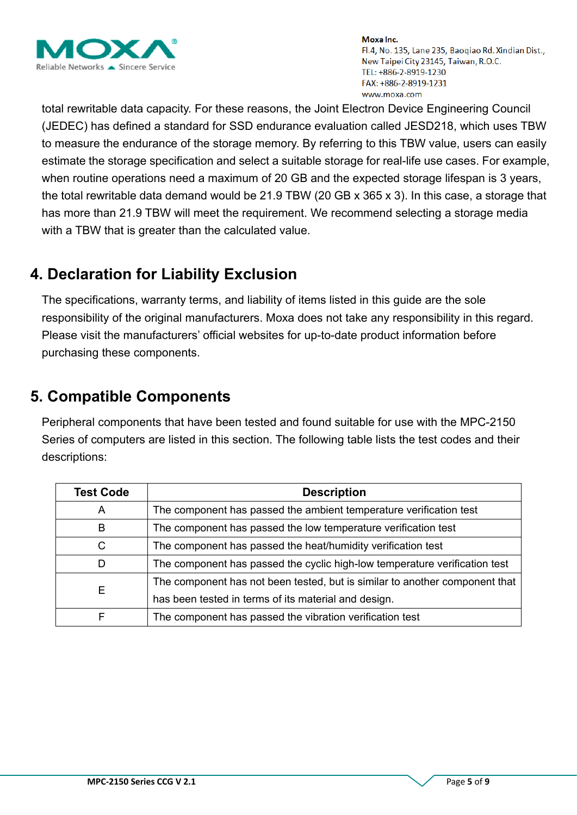

total rewritable data capacity. For these reasons, the Joint Electron Device Engineering Council (JEDEC) has defined a standard for SSD endurance evaluation called JESD218, which uses TBW to measure the endurance of the storage memory. By referring to this TBW value, users can easily estimate the storage specification and select a suitable storage for real-life use cases. For example, when routine operations need a maximum of 20 GB and the expected storage lifespan is 3 years, the total rewritable data demand would be 21.9 TBW (20 GB x 365 x 3). In this case, a storage that has more than 21.9 TBW will meet the requirement. We recommend selecting a storage media with a TBW that is greater than the calculated value.

# **4. Declaration for Liability Exclusion**

The specifications, warranty terms, and liability of items listed in this guide are the sole responsibility of the original manufacturers. Moxa does not take any responsibility in this regard. Please visit the manufacturers' official websites for up-to-date product information before purchasing these components.

# **5. Compatible Components**

Peripheral components that have been tested and found suitable for use with the MPC-2150 Series of computers are listed in this section. The following table lists the test codes and their descriptions:

| <b>Test Code</b> | <b>Description</b>                                                          |
|------------------|-----------------------------------------------------------------------------|
| A                | The component has passed the ambient temperature verification test          |
| B                | The component has passed the low temperature verification test              |
| C                | The component has passed the heat/humidity verification test                |
| D                | The component has passed the cyclic high-low temperature verification test  |
|                  | The component has not been tested, but is similar to another component that |
| Е                | has been tested in terms of its material and design.                        |
|                  | The component has passed the vibration verification test                    |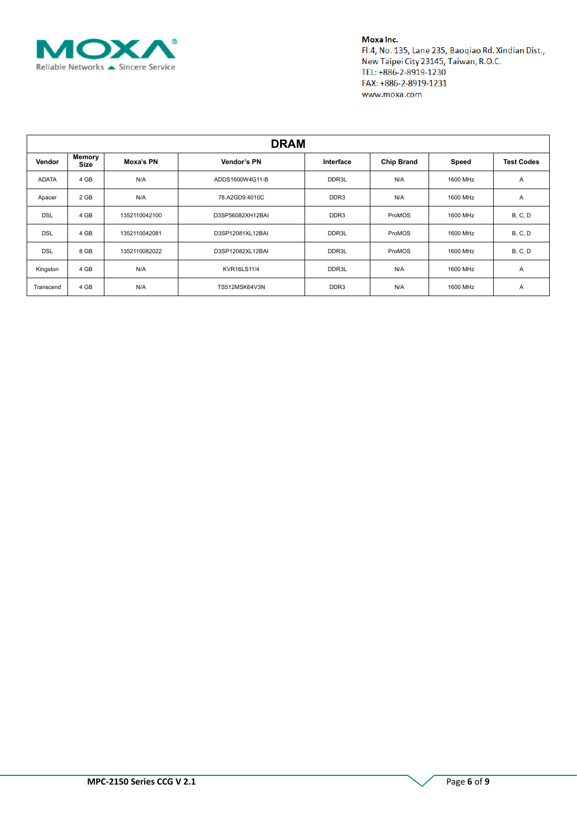

| <b>DRAM</b>  |                       |               |                    |                  |                   |          |                   |  |  |  |
|--------------|-----------------------|---------------|--------------------|------------------|-------------------|----------|-------------------|--|--|--|
| Vendor       | Memory<br><b>Size</b> | Moxa's PN     | Vendor's PN        | Interface        | <b>Chip Brand</b> | Speed    | <b>Test Codes</b> |  |  |  |
| <b>ADATA</b> | 4 GB                  | N/A           | ADDS1600W4G11-B    | DDR3L            | N/A               | 1600 MHz | Α                 |  |  |  |
| Apacer       | 2 GB                  | N/A           | 78.A2GD9.4010C     | DDR <sub>3</sub> | N/A               | 1600 MHz | Α                 |  |  |  |
| <b>DSL</b>   | 4 GB                  | 1352110042100 | D3SP56082XH12BAI   | DDR <sub>3</sub> | ProMOS            | 1600 MHz | <b>B, C, D</b>    |  |  |  |
| <b>DSL</b>   | 4 GB                  | 1352110042081 | D3SP12081XL12BAI   | DDR3L            | ProMOS            | 1600 MHz | <b>B, C, D</b>    |  |  |  |
| <b>DSL</b>   | 8 GB                  | 1352110082022 | D3SP12082XL12BAI   | DDR3L            | ProMOS            | 1600 MHz | <b>B, C, D</b>    |  |  |  |
| Kingston     | 4 GB                  | N/A           | <b>KVR16LS11/4</b> | DDR3L            | N/A               | 1600 MHz | Α                 |  |  |  |
| Transcend    | 4 GB                  | N/A           | TS512MSK64V3N      | DDR <sub>3</sub> | N/A               | 1600 MHz | A                 |  |  |  |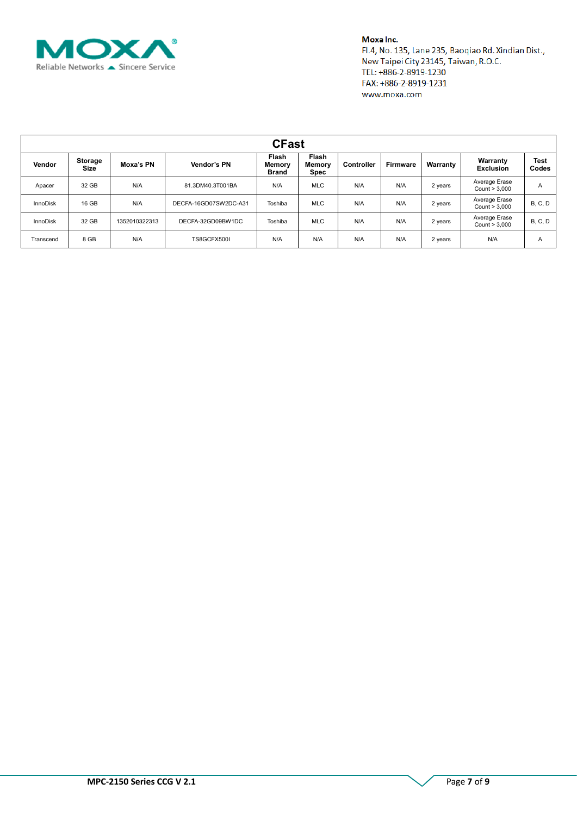

| <b>CFast</b>    |                               |               |                       |                                        |                                |                   |          |          |                                |                |  |
|-----------------|-------------------------------|---------------|-----------------------|----------------------------------------|--------------------------------|-------------------|----------|----------|--------------------------------|----------------|--|
| Vendor          | <b>Storage</b><br><b>Size</b> | Moxa's PN     | Vendor's PN           | Flash<br><b>Memory</b><br><b>Brand</b> | Flash<br><b>Memory</b><br>Spec | <b>Controller</b> | Firmware | Warranty | Warranty<br><b>Exclusion</b>   | Test<br>Codes  |  |
| Apacer          | 32 GB                         | N/A           | 81.3DM40.3T001BA      | N/A                                    | <b>MLC</b>                     | N/A               | N/A      | 2 years  | Average Erase<br>Count > 3,000 | A              |  |
| <b>InnoDisk</b> | 16 GB                         | N/A           | DECFA-16GD07SW2DC-A31 | Toshiba                                | <b>MLC</b>                     | N/A               | N/A      | 2 years  | Average Erase<br>Count > 3,000 | <b>B. C. D</b> |  |
| <b>InnoDisk</b> | 32 GB                         | 1352010322313 | DECFA-32GD09BW1DC     | Toshiba                                | <b>MLC</b>                     | N/A               | N/A      | 2 years  | Average Erase<br>Count > 3,000 | <b>B. C. D</b> |  |
| Transcend       | 8 GB                          | N/A           | TS8GCFX500I           | N/A                                    | N/A                            | N/A               | N/A      | 2 years  | N/A                            | A              |  |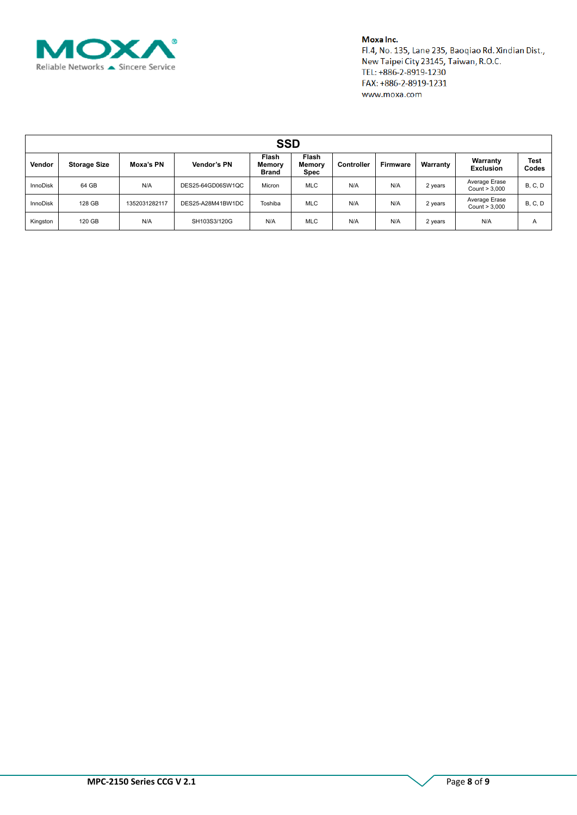

| <b>SSD</b>      |                     |               |                   |                                        |                                |            |          |          |                                |                      |  |
|-----------------|---------------------|---------------|-------------------|----------------------------------------|--------------------------------|------------|----------|----------|--------------------------------|----------------------|--|
| Vendor          | <b>Storage Size</b> | Moxa's PN     | Vendor's PN       | Flash<br><b>Memory</b><br><b>Brand</b> | Flash<br><b>Memory</b><br>Spec | Controller | Firmware | Warranty | Warranty<br><b>Exclusion</b>   | <b>Test</b><br>Codes |  |
| <b>InnoDisk</b> | 64 GB               | N/A           | DES25-64GD06SW1QC | Micron                                 | <b>MLC</b>                     | N/A        | N/A      | 2 years  | Average Erase<br>Count > 3,000 | B, C, D              |  |
| <b>InnoDisk</b> | 128 GB              | 1352031282117 | DES25-A28M41BW1DC | Toshiba                                | <b>MLC</b>                     | N/A        | N/A      | 2 years  | Average Erase<br>Count > 3,000 | <b>B. C. D</b>       |  |
| Kingston        | 120 GB              | N/A           | SH103S3/120G      | N/A                                    | <b>MLC</b>                     | N/A        | N/A      | 2 years  | N/A                            | A                    |  |